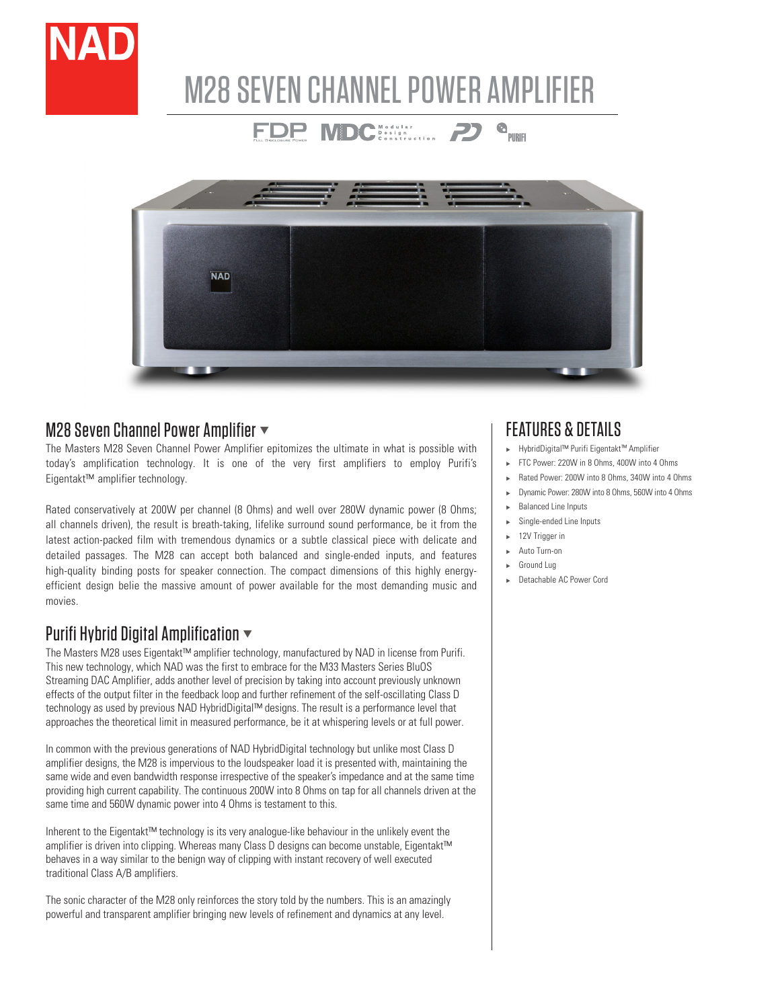

# M28 SEVEN CHANNEL POWER AMPLIFIER

FDP MDC (Service 2)

 $\begin{array}{cc}\n\mathbf{Q} & \mathbf{H} \\
\mathbf{Q} & \mathbf{H} \\
\mathbf{H} & \mathbf{H} \\
\mathbf{H} & \mathbf{H} \\
\mathbf{H} & \mathbf{H} \\
\mathbf{H} & \mathbf{H} \\
\mathbf{H} & \mathbf{H} \\
\mathbf{H} & \mathbf{H} \\
\mathbf{H} & \mathbf{H} \\
\mathbf{H} & \mathbf{H} \\
\mathbf{H} & \mathbf{H} \\
\mathbf{H} & \mathbf{H} \\
\mathbf{H} & \mathbf{H} \\
\mathbf{H} & \mathbf{H} \\
\mathbf{H} & \mathbf{H} \\
\math$ 



#### M28 Seven Channel Power Amplifier  $\blacktriangledown$

The Masters M28 Seven Channel Power Amplifier epitomizes the ultimate in what is possible with today's amplification technology. It is one of the very first amplifiers to employ Purifi's Eigentakt™ amplifier technology.

Rated conservatively at 200W per channel (8 Ohms) and well over 280W dynamic power (8 Ohms; all channels driven), the result is breath-taking, lifelike surround sound performance, be it from the latest action-packed film with tremendous dynamics or a subtle classical piece with delicate and detailed passages. The M28 can accept both balanced and single-ended inputs, and features high-quality binding posts for speaker connection. The compact dimensions of this highly energyefficient design belie the massive amount of power available for the most demanding music and movies.

# Purifi Hybrid Digital Amplification  $\blacktriangledown$

The Masters M28 uses Eigentakt™ amplifier technology, manufactured by NAD in license from Purifi. This new technology, which NAD was the first to embrace for the M33 Masters Series BluOS Streaming DAC Amplifier, adds another level of precision by taking into account previously unknown effects of the output filter in the feedback loop and further refinement of the self-oscillating Class D technology as used by previous NAD HybridDigital™ designs. The result is a performance level that approaches the theoretical limit in measured performance, be it at whispering levels or at full power.

In common with the previous generations of NAD HybridDigital technology but unlike most Class D amplifier designs, the M28 is impervious to the loudspeaker load it is presented with, maintaining the same wide and even bandwidth response irrespective of the speaker's impedance and at the same time providing high current capability. The continuous 200W into 8 Ohms on tap for all channels driven at the same time and 560W dynamic power into 4 Ohms is testament to this.

Inherent to the Eigentakt™ technology is its very analogue-like behaviour in the unlikely event the amplifier is driven into clipping. Whereas many Class D designs can become unstable, Eigentakt™ behaves in a way similar to the benign way of clipping with instant recovery of well executed traditional Class A/B amplifiers.

The sonic character of the M28 only reinforces the story told by the numbers. This is an amazingly powerful and transparent amplifier bringing new levels of refinement and dynamics at any level.

## FEATURES & DETAILS

- <sup>u</sup> HybridDigital™ Purifi Eigentakt™ Amplifier
- FTC Power: 220W in 8 Ohms, 400W into 4 Ohms
- Rated Power: 200W into 8 Ohms, 340W into 4 Ohms
- <sup>u</sup> Dynamic Power: 280W into 8 Ohms, 560W into 4 Ohms
- **Balanced Line Inputs** Single-ended Line Inputs
- 12V Trigger in
- Auto Turn-on
- Ground Lug
- <sup>u</sup> Detachable AC Power Cord